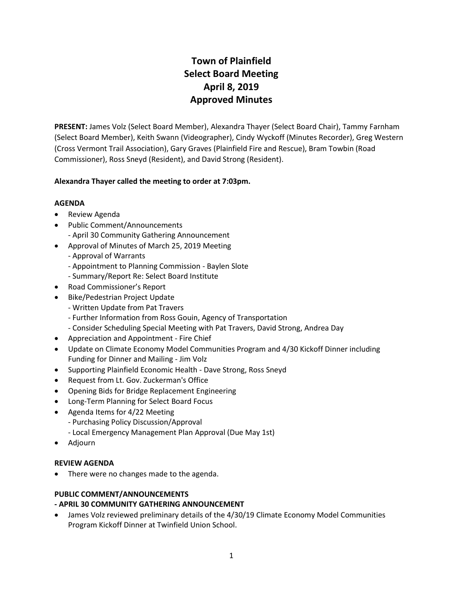# **Town of Plainfield Select Board Meeting April 8, 2019 Approved Minutes**

**PRESENT:** James Volz (Select Board Member), Alexandra Thayer (Select Board Chair), Tammy Farnham (Select Board Member), Keith Swann (Videographer), Cindy Wyckoff (Minutes Recorder), Greg Western (Cross Vermont Trail Association), Gary Graves (Plainfield Fire and Rescue), Bram Towbin (Road Commissioner), Ross Sneyd (Resident), and David Strong (Resident).

# **Alexandra Thayer called the meeting to order at 7:03pm.**

# **AGENDA**

- Review Agenda
- Public Comment/Announcements - April 30 Community Gathering Announcement
- Approval of Minutes of March 25, 2019 Meeting
	- Approval of Warrants
	- Appointment to Planning Commission Baylen Slote
	- Summary/Report Re: Select Board Institute
- Road Commissioner's Report
- Bike/Pedestrian Project Update
	- Written Update from Pat Travers
	- Further Information from Ross Gouin, Agency of Transportation
	- Consider Scheduling Special Meeting with Pat Travers, David Strong, Andrea Day
- Appreciation and Appointment Fire Chief
- Update on Climate Economy Model Communities Program and 4/30 Kickoff Dinner including Funding for Dinner and Mailing - Jim Volz
- Supporting Plainfield Economic Health Dave Strong, Ross Sneyd
- Request from Lt. Gov. Zuckerman's Office
- Opening Bids for Bridge Replacement Engineering
- Long-Term Planning for Select Board Focus
- Agenda Items for 4/22 Meeting
	- Purchasing Policy Discussion/Approval
	- Local Emergency Management Plan Approval (Due May 1st)
- Adjourn

# **REVIEW AGENDA**

• There were no changes made to the agenda.

# **PUBLIC COMMENT/ANNOUNCEMENTS**

# **- APRIL 30 COMMUNITY GATHERING ANNOUNCEMENT**

• James Volz reviewed preliminary details of the 4/30/19 Climate Economy Model Communities Program Kickoff Dinner at Twinfield Union School.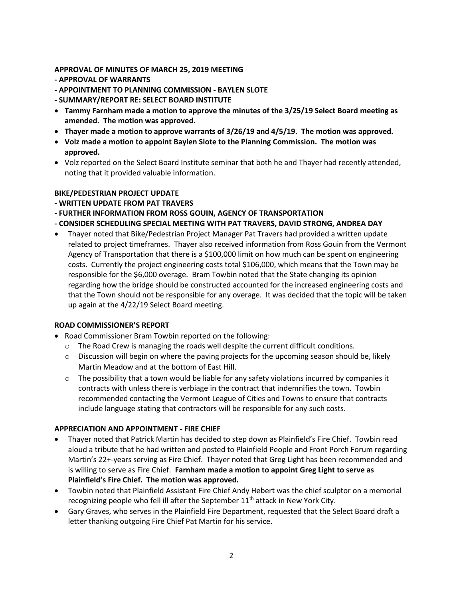## **APPROVAL OF MINUTES OF MARCH 25, 2019 MEETING**

- **- APPROVAL OF WARRANTS**
- **- APPOINTMENT TO PLANNING COMMISSION - BAYLEN SLOTE**
- **- SUMMARY/REPORT RE: SELECT BOARD INSTITUTE**
- **Tammy Farnham made a motion to approve the minutes of the 3/25/19 Select Board meeting as amended. The motion was approved.**
- **Thayer made a motion to approve warrants of 3/26/19 and 4/5/19. The motion was approved.**
- **Volz made a motion to appoint Baylen Slote to the Planning Commission. The motion was approved.**
- Volz reported on the Select Board Institute seminar that both he and Thayer had recently attended, noting that it provided valuable information.

## **BIKE/PEDESTRIAN PROJECT UPDATE**

- **- WRITTEN UPDATE FROM PAT TRAVERS**
- **- FURTHER INFORMATION FROM ROSS GOUIN, AGENCY OF TRANSPORTATION**
- **- CONSIDER SCHEDULING SPECIAL MEETING WITH PAT TRAVERS, DAVID STRONG, ANDREA DAY**
- Thayer noted that Bike/Pedestrian Project Manager Pat Travers had provided a written update related to project timeframes. Thayer also received information from Ross Gouin from the Vermont Agency of Transportation that there is a \$100,000 limit on how much can be spent on engineering costs. Currently the project engineering costs total \$106,000, which means that the Town may be responsible for the \$6,000 overage. Bram Towbin noted that the State changing its opinion regarding how the bridge should be constructed accounted for the increased engineering costs and that the Town should not be responsible for any overage. It was decided that the topic will be taken up again at the 4/22/19 Select Board meeting.

## **ROAD COMMISSIONER'S REPORT**

- Road Commissioner Bram Towbin reported on the following:
	- $\circ$  The Road Crew is managing the roads well despite the current difficult conditions.
	- $\circ$  Discussion will begin on where the paving projects for the upcoming season should be, likely Martin Meadow and at the bottom of East Hill.
	- $\circ$  The possibility that a town would be liable for any safety violations incurred by companies it contracts with unless there is verbiage in the contract that indemnifies the town. Towbin recommended contacting the Vermont League of Cities and Towns to ensure that contracts include language stating that contractors will be responsible for any such costs.

## **APPRECIATION AND APPOINTMENT - FIRE CHIEF**

- Thayer noted that Patrick Martin has decided to step down as Plainfield's Fire Chief. Towbin read aloud a tribute that he had written and posted to Plainfield People and Front Porch Forum regarding Martin's 22+-years serving as Fire Chief. Thayer noted that Greg Light has been recommended and is willing to serve as Fire Chief. **Farnham made a motion to appoint Greg Light to serve as Plainfield's Fire Chief. The motion was approved.**
- Towbin noted that Plainfield Assistant Fire Chief Andy Hebert was the chief sculptor on a memorial recognizing people who fell ill after the September  $11<sup>th</sup>$  attack in New York City.
- Gary Graves, who serves in the Plainfield Fire Department, requested that the Select Board draft a letter thanking outgoing Fire Chief Pat Martin for his service.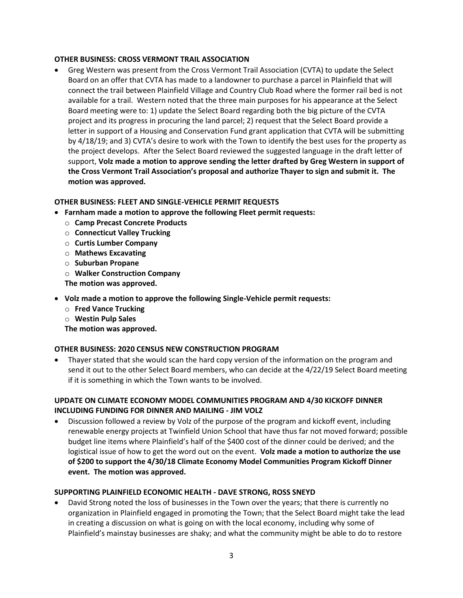# **OTHER BUSINESS: CROSS VERMONT TRAIL ASSOCIATION**

 Greg Western was present from the Cross Vermont Trail Association (CVTA) to update the Select Board on an offer that CVTA has made to a landowner to purchase a parcel in Plainfield that will connect the trail between Plainfield Village and Country Club Road where the former rail bed is not available for a trail. Western noted that the three main purposes for his appearance at the Select Board meeting were to: 1) update the Select Board regarding both the big picture of the CVTA project and its progress in procuring the land parcel; 2) request that the Select Board provide a letter in support of a Housing and Conservation Fund grant application that CVTA will be submitting by 4/18/19; and 3) CVTA's desire to work with the Town to identify the best uses for the property as the project develops. After the Select Board reviewed the suggested language in the draft letter of support, **Volz made a motion to approve sending the letter drafted by Greg Western in support of the Cross Vermont Trail Association's proposal and authorize Thayer to sign and submit it. The motion was approved.**

# **OTHER BUSINESS: FLEET AND SINGLE-VEHICLE PERMIT REQUESTS**

- **Farnham made a motion to approve the following Fleet permit requests:**
	- o **Camp Precast Concrete Products**
	- o **Connecticut Valley Trucking**
	- o **Curtis Lumber Company**
	- o **Mathews Excavating**
	- o **Suburban Propane**
	- o **Walker Construction Company**

**The motion was approved.**

- **Volz made a motion to approve the following Single-Vehicle permit requests:**
	- o **Fred Vance Trucking**
	- o **Westin Pulp Sales**

**The motion was approved.**

# **OTHER BUSINESS: 2020 CENSUS NEW CONSTRUCTION PROGRAM**

 Thayer stated that she would scan the hard copy version of the information on the program and send it out to the other Select Board members, who can decide at the 4/22/19 Select Board meeting if it is something in which the Town wants to be involved.

# **UPDATE ON CLIMATE ECONOMY MODEL COMMUNITIES PROGRAM AND 4/30 KICKOFF DINNER INCLUDING FUNDING FOR DINNER AND MAILING - JIM VOLZ**

 Discussion followed a review by Volz of the purpose of the program and kickoff event, including renewable energy projects at Twinfield Union School that have thus far not moved forward; possible budget line items where Plainfield's half of the \$400 cost of the dinner could be derived; and the logistical issue of how to get the word out on the event. **Volz made a motion to authorize the use of \$200 to support the 4/30/18 Climate Economy Model Communities Program Kickoff Dinner event. The motion was approved.**

## **SUPPORTING PLAINFIELD ECONOMIC HEALTH - DAVE STRONG, ROSS SNEYD**

 David Strong noted the loss of businesses in the Town over the years; that there is currently no organization in Plainfield engaged in promoting the Town; that the Select Board might take the lead in creating a discussion on what is going on with the local economy, including why some of Plainfield's mainstay businesses are shaky; and what the community might be able to do to restore